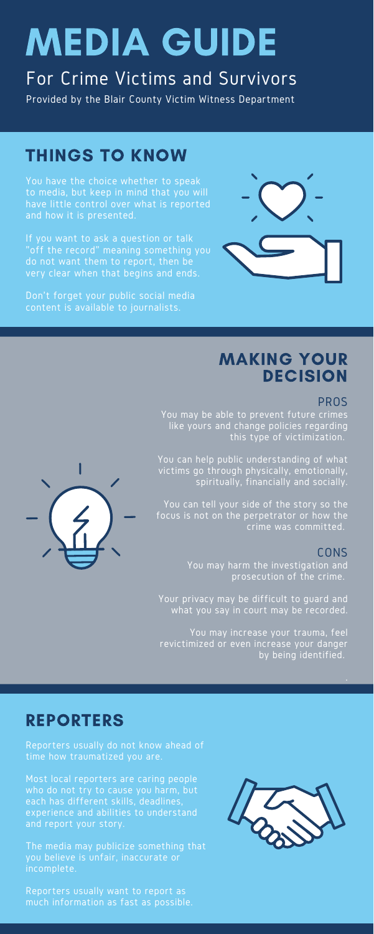# MEDIA GUIDE

# For Crime Victims and Survivors

Provided by the Blair County Victim Witness Department

You have the choice whether to speak to media, but keep in mind that you will have little control over what is reported and how it is presented.

If you want to ask a question or talk "off the record" meaning something you do not want them to report, then be very clear when that begins and ends.

Don't forget your public social media content is available to journalists.



## THINGS TO KNOW

#### PROS

## MAKING YOUR **DECISION**

You may be able to prevent future crimes like yours and change policies regarding this type of victimization.

You can help public understanding of what victims go through physically, emotionally, spiritually, financially and socially.

You can tell your side of the story so the focus is not on the perpetrator or how the crime was committed.



#### CONS

You may harm the investigation and prosecution of the crime.

Your privacy may be difficult to guard and what you say in court may be recorded.

You may increase your trauma, feel revictimized or even increase your danger by being identified.

Reporters usually do not know ahead of time how traumatized you are.

Most local reporters are caring people who do not try to cause you harm, but each has different skills, deadlines, experience and abilities to understand and report your story.

The media may publicize something that you believe is unfair, inaccurate or incomplete.

Reporters usually want to report as much information as fast as possible.



### REPORTERS